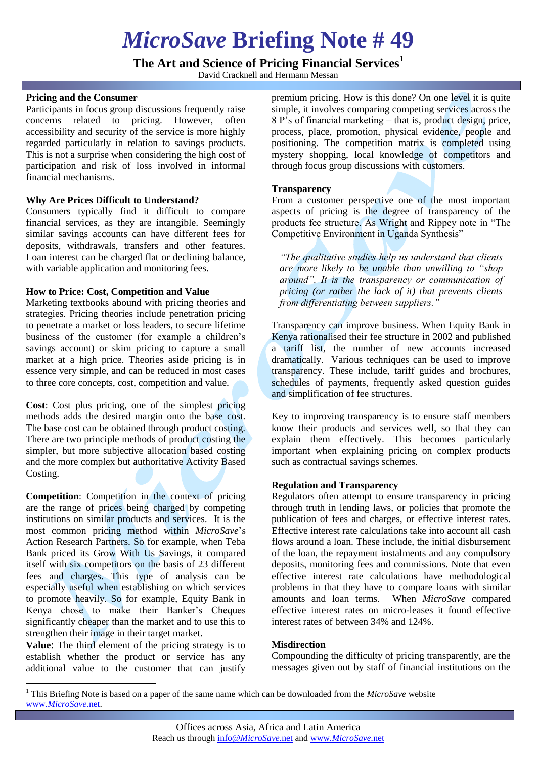# *MicroSave* **Briefing Note # 49**

**The Art and Science of Pricing Financial Services<sup>1</sup>**

David Cracknell and Hermann Messan

### **Pricing and the Consumer**

Participants in focus group discussions frequently raise concerns related to pricing. However, often accessibility and security of the service is more highly regarded particularly in relation to savings products. This is not a surprise when considering the high cost of participation and risk of loss involved in informal financial mechanisms.

#### **Why Are Prices Difficult to Understand?**

Consumers typically find it difficult to compare financial services, as they are intangible. Seemingly similar savings accounts can have different fees for deposits, withdrawals, transfers and other features. Loan interest can be charged flat or declining balance, with variable application and monitoring fees.

#### **How to Price: Cost, Competition and Value**

Marketing textbooks abound with pricing theories and strategies. Pricing theories include penetration pricing to penetrate a market or loss leaders, to secure lifetime business of the customer (for example a children's savings account) or skim pricing to capture a small market at a high price. Theories aside pricing is in essence very simple, and can be reduced in most cases to three core concepts, cost, competition and value.

**Cost**: Cost plus pricing, one of the simplest pricing methods adds the desired margin onto the base cost. The base cost can be obtained through product costing. There are two principle methods of product costing the simpler, but more subjective allocation based costing and the more complex but authoritative Activity Based Costing.

**Competition**: Competition in the context of pricing are the range of prices being charged by competing institutions on similar products and services. It is the most common pricing method within *MicroSave*'s Action Research Partners. So for example, when Teba Bank priced its Grow With Us Savings, it compared itself with six competitors on the basis of 23 different fees and charges. This type of analysis can be especially useful when establishing on which services to promote heavily. So for example, Equity Bank in Kenya chose to make their Banker's Cheques significantly cheaper than the market and to use this to strengthen their image in their target market.

**Value**: The third element of the pricing strategy is to establish whether the product or service has any additional value to the customer that can justify

 $\overline{a}$ 

premium pricing. How is this done? On one level it is quite simple, it involves comparing competing services across the 8 P's of financial marketing – that is, product design, price, process, place, promotion, physical evidence, people and positioning. The competition matrix is completed using mystery shopping, local knowledge of competitors and through focus group discussions with customers.

#### **Transparency**

From a customer perspective one of the most important aspects of pricing is the degree of transparency of the products fee structure. As Wright and Rippey note in "The Competitive Environment in Uganda Synthesis"

*"The qualitative studies help us understand that clients are more likely to be unable than unwilling to "shop around". It is the transparency or communication of pricing (or rather the lack of it) that prevents clients from differentiating between suppliers."* 

Transparency can improve business. When Equity Bank in Kenya rationalised their fee structure in 2002 and published a tariff list, the number of new accounts increased dramatically. Various techniques can be used to improve transparency. These include, tariff guides and brochures, schedules of payments, frequently asked question guides and simplification of fee structures.

Key to improving transparency is to ensure staff members know their products and services well, so that they can explain them effectively. This becomes particularly important when explaining pricing on complex products such as contractual savings schemes.

# **Regulation and Transparency**

Regulators often attempt to ensure transparency in pricing through truth in lending laws, or policies that promote the publication of fees and charges, or effective interest rates. Effective interest rate calculations take into account all cash flows around a loan. These include, the initial disbursement of the loan, the repayment instalments and any compulsory deposits, monitoring fees and commissions. Note that even effective interest rate calculations have methodological problems in that they have to compare loans with similar amounts and loan terms. When *MicroSave* compared effective interest rates on micro-leases it found effective interest rates of between 34% and 124%.

#### **Misdirection**

Compounding the difficulty of pricing transparently, are the messages given out by staff of financial institutions on the

<sup>1</sup> This Briefing Note is based on a paper of the same name which can be downloaded from the *MicroSave* website www.*[MicroSave.](http://www.microsave.net/)*net.